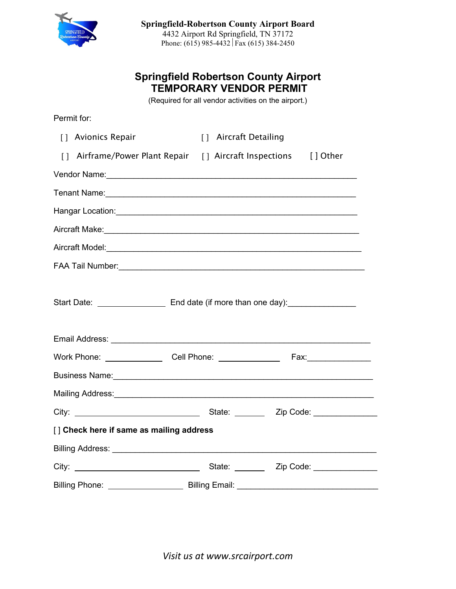

## **Springfield Robertson County Airport TEMPORARY VENDOR PERMIT**

(Required for all vendor activities on the airport.)

| Permit for:                                                                             |                                                                                                                                                                                                                                                                                  |        |                           |  |  |
|-----------------------------------------------------------------------------------------|----------------------------------------------------------------------------------------------------------------------------------------------------------------------------------------------------------------------------------------------------------------------------------|--------|---------------------------|--|--|
|                                                                                         | [] Avionics Repair                                                                                                                                                                                                                                                               | $\Box$ | <b>Aircraft Detailing</b> |  |  |
| $\lceil \rceil$                                                                         | Airframe/Power Plant Repair [] Aircraft Inspections [] Other                                                                                                                                                                                                                     |        |                           |  |  |
|                                                                                         |                                                                                                                                                                                                                                                                                  |        |                           |  |  |
|                                                                                         |                                                                                                                                                                                                                                                                                  |        |                           |  |  |
|                                                                                         |                                                                                                                                                                                                                                                                                  |        |                           |  |  |
|                                                                                         |                                                                                                                                                                                                                                                                                  |        |                           |  |  |
|                                                                                         |                                                                                                                                                                                                                                                                                  |        |                           |  |  |
|                                                                                         |                                                                                                                                                                                                                                                                                  |        |                           |  |  |
| Start Date: __________________________ End date (if more than one day):________________ |                                                                                                                                                                                                                                                                                  |        |                           |  |  |
|                                                                                         |                                                                                                                                                                                                                                                                                  |        |                           |  |  |
|                                                                                         |                                                                                                                                                                                                                                                                                  |        |                           |  |  |
|                                                                                         | Business Name: <b>Example 2018</b> Name: <b>Example 2018</b> Name: <b>Example 2018</b> Name: <b>Example 2018</b> Name: <b>Example 2018</b> Name: <b>Example 2018</b> Name: <b>Example 2018</b> Name: <b>Example 2018</b> Name: <b>Example 2018</b> Name: <b>Example 2018</b> Nam |        |                           |  |  |
|                                                                                         | Mailing Address: Mail and Mail and Mail and Mail and Mail and Mail and Mail and Mail and Mail and Mail and Mai                                                                                                                                                                   |        |                           |  |  |
|                                                                                         |                                                                                                                                                                                                                                                                                  |        |                           |  |  |
| [] Check here if same as mailing address                                                |                                                                                                                                                                                                                                                                                  |        |                           |  |  |
|                                                                                         |                                                                                                                                                                                                                                                                                  |        |                           |  |  |
|                                                                                         |                                                                                                                                                                                                                                                                                  |        |                           |  |  |
|                                                                                         |                                                                                                                                                                                                                                                                                  |        |                           |  |  |